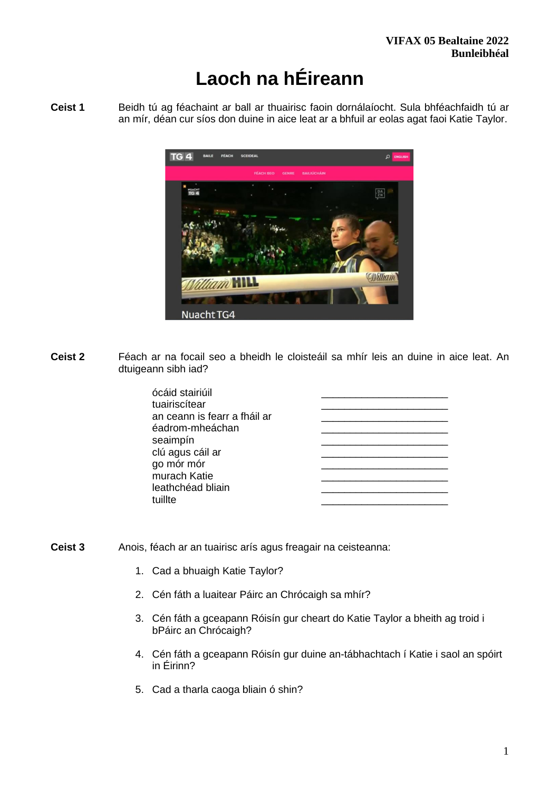# **Laoch na hÉireann**

**Ceist 1** Beidh tú ag féachaint ar ball ar thuairisc faoin dornálaíocht. Sula bhféachfaidh tú ar an mír, déan cur síos don duine in aice leat ar a bhfuil ar eolas agat faoi Katie Taylor.



**Ceist 2** Féach ar na focail seo a bheidh le cloisteáil sa mhír leis an duine in aice leat. An dtuigeann sibh iad?

| ócáid stairiúil              |  |
|------------------------------|--|
| tuairiscítear                |  |
| an ceann is fearr a fháil ar |  |
| éadrom-mheáchan              |  |
| seaimpín                     |  |
| clú agus cáil ar             |  |
| go mór mór                   |  |
| murach Katie                 |  |
| leathchéad bliain            |  |
| tuillte                      |  |
|                              |  |

- **Ceist 3** Anois, féach ar an tuairisc arís agus freagair na ceisteanna:
	- 1. Cad a bhuaigh Katie Taylor?
	- 2. Cén fáth a luaitear Páirc an Chrócaigh sa mhír?
	- 3. Cén fáth a gceapann Róisín gur cheart do Katie Taylor a bheith ag troid i bPáirc an Chrócaigh?
	- 4. Cén fáth a gceapann Róisín gur duine an-tábhachtach í Katie i saol an spóirt in Éirinn?
	- 5. Cad a tharla caoga bliain ó shin?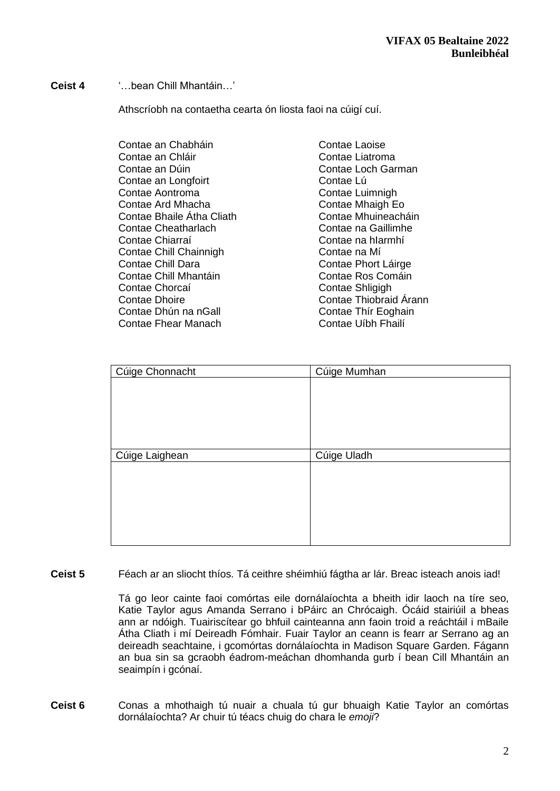#### **Ceist 4** '…bean Chill Mhantáin…'

Athscríobh na contaetha cearta ón liosta faoi na cúigí cuí.

| Contae an Chabháin         | Contae Laoise          |
|----------------------------|------------------------|
| Contae an Chláir           | Contae Liatroma        |
| Contae an Dúin             | Contae Loch Garman     |
| Contae an Longfoirt        | Contae Lú              |
| Contae Aontroma            | Contae Luimnigh        |
| Contae Ard Mhacha          | Contae Mhaigh Eo       |
| Contae Bhaile Atha Cliath  | Contae Mhuineacháin    |
| <b>Contae Cheatharlach</b> | Contae na Gaillimhe    |
| Contae Chiarraí            | Contae na hIarmhí      |
| Contae Chill Chainnigh     | Contae na Mí           |
| <b>Contae Chill Dara</b>   | Contae Phort Láirge    |
| Contae Chill Mhantáin      | Contae Ros Comáin      |
| Contae Chorcaí             | Contae Shligigh        |
| <b>Contae Dhoire</b>       | Contae Thiobraid Arann |
| Contae Dhún na nGall       | Contae Thír Eoghain    |
| Contae Fhear Manach        | Contae Uíbh Fhailí     |

| Cúige Chonnacht | Cúige Mumhan |
|-----------------|--------------|
|                 |              |
|                 |              |
|                 |              |
|                 |              |
|                 |              |
| Cúige Laighean  | Cúige Uladh  |
|                 |              |
|                 |              |
|                 |              |
|                 |              |
|                 |              |
|                 |              |

**Ceist 5** Féach ar an sliocht thíos. Tá ceithre shéimhiú fágtha ar lár. Breac isteach anois iad!

Tá go leor cainte faoi comórtas eile dornálaíochta a bheith idir laoch na tíre seo, Katie Taylor agus Amanda Serrano i bPáirc an Chrócaigh. Ócáid stairiúil a bheas ann ar ndóigh. Tuairiscítear go bhfuil cainteanna ann faoin troid a reáchtáil i mBaile Átha Cliath i mí Deireadh Fómhair. Fuair Taylor an ceann is fearr ar Serrano ag an deireadh seachtaine, i gcomórtas dornálaíochta in Madison Square Garden. Fágann an bua sin sa gcraobh éadrom-meáchan dhomhanda gurb í bean Cill Mhantáin an seaimpín i gcónaí.

**Ceist 6** Conas a mhothaigh tú nuair a chuala tú gur bhuaigh Katie Taylor an comórtas dornálaíochta? Ar chuir tú téacs chuig do chara le *emoji*?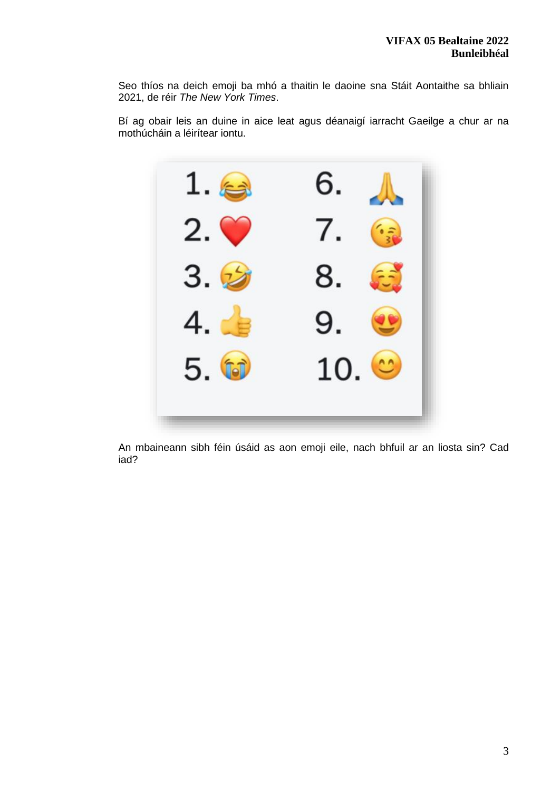Seo thíos na deich emoji ba mhó a thaitin le daoine sna Stáit Aontaithe sa bhliain 2021, de réir *The New York Times*.

Bí ag obair leis an duine in aice leat agus déanaigí iarracht Gaeilge a chur ar na mothúcháin a léirítear iontu.



An mbaineann sibh féin úsáid as aon emoji eile, nach bhfuil ar an liosta sin? Cad iad?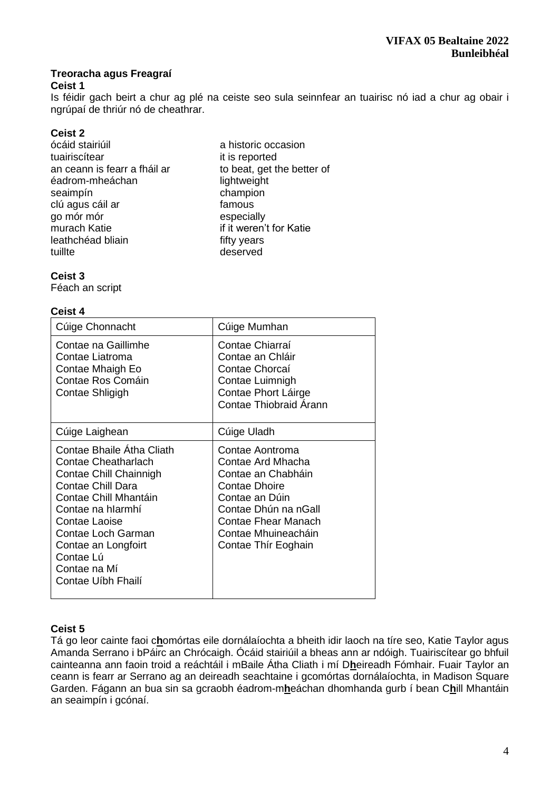## **Treoracha agus Freagraí**

#### **Ceist 1**

Is féidir gach beirt a chur ag plé na ceiste seo sula seinnfear an tuairisc nó iad a chur ag obair i ngrúpaí de thriúr nó de cheathrar.

## **Ceist 2**

- ócáid stairiúil a historic occasion tuairiscítear it is reported an ceann is fearr a fháil ar to beat, get the better of éadrom-mheáchan lightweight seaimpín<br>clú agus cáil ar champion clú agus cáil ar champion clú agus cáil ar go mór mór<br>
murach Katie<br>
if it weren' leathchéad bliain entity years<br>tuillte deserved
	- if it weren't for Katie deserved

#### **Ceist 3**

Féach an script

#### **Ceist 4**

| Cúige Chonnacht                                                                                                                                                                                                                                                              | Cúige Mumhan                                                                                                                                                                                      |
|------------------------------------------------------------------------------------------------------------------------------------------------------------------------------------------------------------------------------------------------------------------------------|---------------------------------------------------------------------------------------------------------------------------------------------------------------------------------------------------|
| Contae na Gaillimhe<br>Contae Liatroma<br>Contae Mhaigh Eo<br>Contae Ros Comáin<br>Contae Shligigh                                                                                                                                                                           | Contae Chiarraí<br>Contae an Chláir<br>Contae Chorcaí<br>Contae Luimnigh<br>Contae Phort Láirge<br>Contae Thiobraid Arann                                                                         |
| Cúige Laighean                                                                                                                                                                                                                                                               | Cúige Uladh                                                                                                                                                                                       |
| Contae Bhaile Atha Cliath<br><b>Contae Cheatharlach</b><br>Contae Chill Chainnigh<br><b>Contae Chill Dara</b><br>Contae Chill Mhantáin<br>Contae na hIarmhí<br>Contae Laoise<br>Contae Loch Garman<br>Contae an Longfoirt<br>Contae Lú<br>Contae na Mí<br>Contae Uíbh Fhailí | Contae Aontroma<br>Contae Ard Mhacha<br>Contae an Chabháin<br>Contae Dhoire<br>Contae an Dúin<br>Contae Dhún na nGall<br><b>Contae Fhear Manach</b><br>Contae Mhuineacháin<br>Contae Thír Eoghain |

#### **Ceist 5**

Tá go leor cainte faoi c**h**omórtas eile dornálaíochta a bheith idir laoch na tíre seo, Katie Taylor agus Amanda Serrano i bPáirc an Chrócaigh. Ócáid stairiúil a bheas ann ar ndóigh. Tuairiscítear go bhfuil cainteanna ann faoin troid a reáchtáil i mBaile Átha Cliath i mí D**h**eireadh Fómhair. Fuair Taylor an ceann is fearr ar Serrano ag an deireadh seachtaine i gcomórtas dornálaíochta, in Madison Square Garden. Fágann an bua sin sa gcraobh éadrom-m**h**eáchan dhomhanda gurb í bean C**h**ill Mhantáin an seaimpín i gcónaí.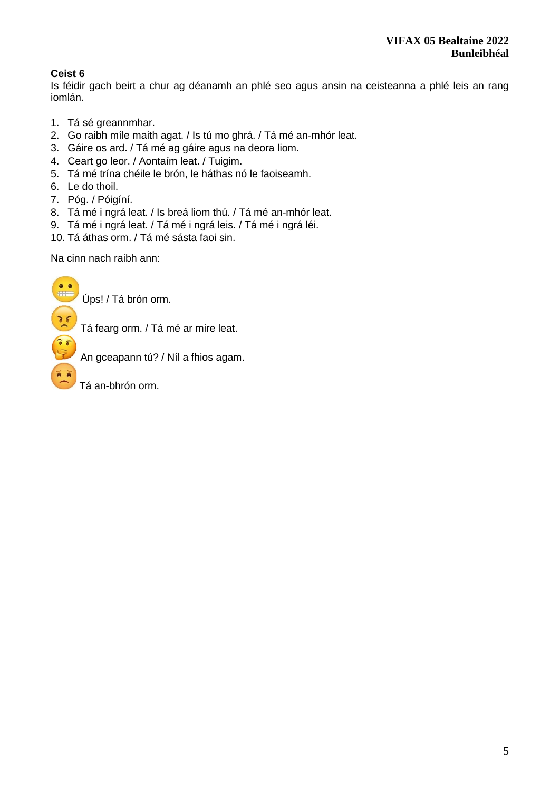# **Ceist 6**

Is féidir gach beirt a chur ag déanamh an phlé seo agus ansin na ceisteanna a phlé leis an rang iomlán.

- 1. Tá sé greannmhar.
- 2. Go raibh míle maith agat. / Is tú mo ghrá. / Tá mé an-mhór leat.
- 3. Gáire os ard. / Tá mé ag gáire agus na deora liom.
- 4. Ceart go leor. / Aontaím leat. / Tuigim.
- 5. Tá mé trína chéile le brón, le háthas nó le faoiseamh.
- 6. Le do thoil.

A A

- 7. Póg. / Póigíní.
- 8. Tá mé i ngrá leat. / Is breá liom thú. / Tá mé an-mhór leat.
- 9. Tá mé i ngrá leat. / Tá mé i ngrá leis. / Tá mé i ngrá léi.
- 10. Tá áthas orm. / Tá mé sásta faoi sin.

Na cinn nach raibh ann:

Úps! / Tá brón orm.

Tá fearg orm. / Tá mé ar mire leat.

An gceapann tú? / Níl a fhios agam.

Tá an-bhrón orm.